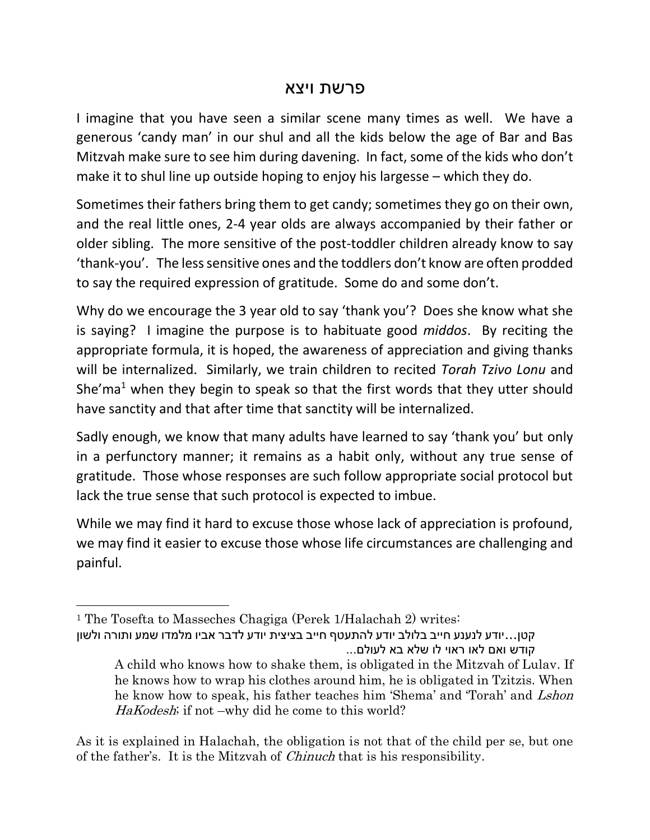## פרשת ויצא

I imagine that you have seen a similar scene many times as well. We have a generous 'candy man' in our shul and all the kids below the age of Bar and Bas Mitzvah make sure to see him during davening. In fact, some of the kids who don't make it to shul line up outside hoping to enjoy his largesse – which they do.

Sometimes their fathers bring them to get candy; sometimes they go on their own, and the real little ones, 2-4 year olds are always accompanied by their father or older sibling. The more sensitive of the post-toddler children already know to say 'thank-you'. The less sensitive ones and the toddlers don't know are often prodded to say the required expression of gratitude. Some do and some don't.

Why do we encourage the 3 year old to say 'thank you'? Does she know what she is saying? I imagine the purpose is to habituate good *middos*. By reciting the appropriate formula, it is hoped, the awareness of appreciation and giving thanks will be internalized. Similarly, we train children to recited *Torah Tzivo Lonu* and She'ma<sup>1</sup> when they begin to speak so that the first words that they utter should have sanctity and that after time that sanctity will be internalized.

Sadly enough, we know that many adults have learned to say 'thank you' but only in a perfunctory manner; it remains as a habit only, without any true sense of gratitude. Those whose responses are such follow appropriate social protocol but lack the true sense that such protocol is expected to imbue.

While we may find it hard to excuse those whose lack of appreciation is profound, we may find it easier to excuse those whose life circumstances are challenging and painful.

 $\overline{a}$ 

As it is explained in Halachah, the obligation is not that of the child per se, but one of the father's. It is the Mitzvah of Chinuch that is his responsibility.

<sup>1</sup> The Tosefta to Masseches Chagiga (Perek 1/Halachah 2) writes:

קטן...יודע לנענע חייב בלולב יודע להתעטף חייב בציצית יודע לדבר אביו מלמדו שמע ותורה ולשון קודש ואם לאו ראוי לו שלא בא לעולם...

A child who knows how to shake them, is obligated in the Mitzvah of Lulav. If he knows how to wrap his clothes around him, he is obligated in Tzitzis. When he know how to speak, his father teaches him 'Shema' and 'Torah' and Lshon HaKodesh; if not –why did he come to this world?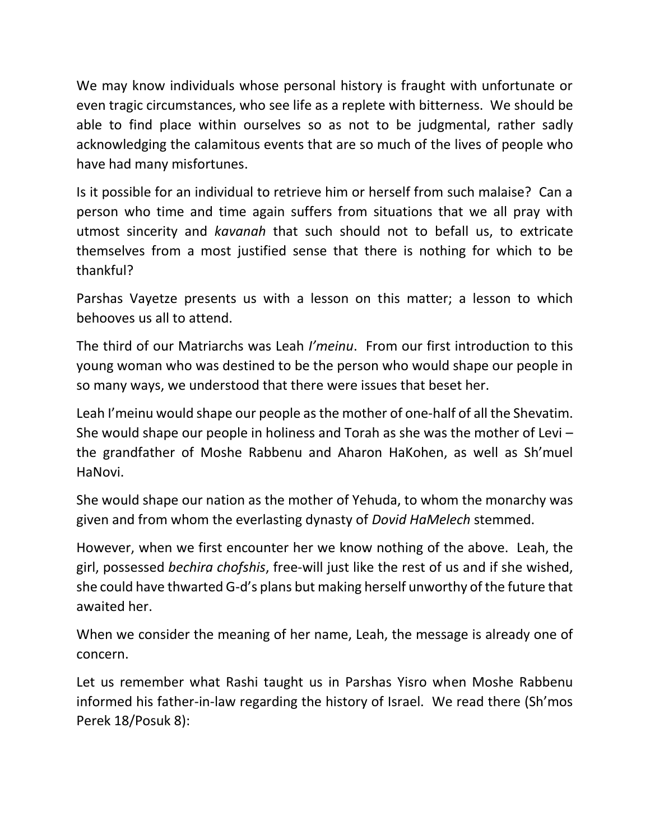We may know individuals whose personal history is fraught with unfortunate or even tragic circumstances, who see life as a replete with bitterness. We should be able to find place within ourselves so as not to be judgmental, rather sadly acknowledging the calamitous events that are so much of the lives of people who have had many misfortunes.

Is it possible for an individual to retrieve him or herself from such malaise? Can a person who time and time again suffers from situations that we all pray with utmost sincerity and *kavanah* that such should not to befall us, to extricate themselves from a most justified sense that there is nothing for which to be thankful?

Parshas Vayetze presents us with a lesson on this matter; a lesson to which behooves us all to attend.

The third of our Matriarchs was Leah *I'meinu*. From our first introduction to this young woman who was destined to be the person who would shape our people in so many ways, we understood that there were issues that beset her.

Leah I'meinu would shape our people as the mother of one-half of all the Shevatim. She would shape our people in holiness and Torah as she was the mother of Levi – the grandfather of Moshe Rabbenu and Aharon HaKohen, as well as Sh'muel HaNovi.

She would shape our nation as the mother of Yehuda, to whom the monarchy was given and from whom the everlasting dynasty of *Dovid HaMelech* stemmed.

However, when we first encounter her we know nothing of the above. Leah, the girl, possessed *bechira chofshis*, free-will just like the rest of us and if she wished, she could have thwarted G-d's plans but making herself unworthy of the future that awaited her.

When we consider the meaning of her name, Leah, the message is already one of concern.

Let us remember what Rashi taught us in Parshas Yisro when Moshe Rabbenu informed his father-in-law regarding the history of Israel. We read there (Sh'mos Perek 18/Posuk 8):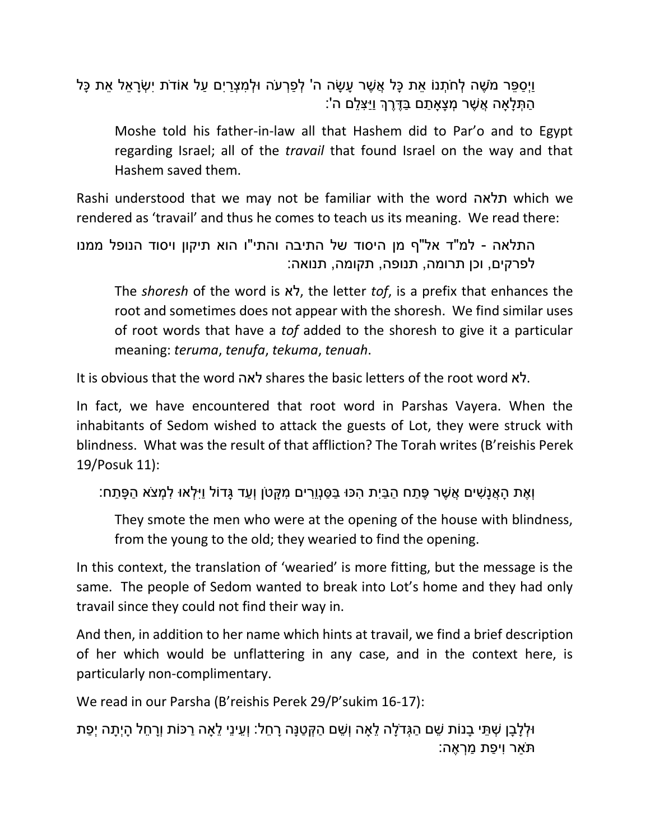וַיְסַפֶּר מֹשֶׁה לְחֹתָנוֹ אֶת כַּל אֲשֶׁר עַשָּׂה ה' לְפַרְעֹה וּלְמִצְרַיִם עַל אוֹדֹת יִשְׂרַאֵל אֶת כַּל ָהַתְּלָאַה אֲשֶׁר מְצָאַתַם בַּדֶּרֶךְ וַיַּצְלֵם ה':

Moshe told his father-in-law all that Hashem did to Par'o and to Egypt regarding Israel; all of the *travail* that found Israel on the way and that Hashem saved them.

Rashi understood that we may not be familiar with the word תלאה which we rendered as 'travail' and thus he comes to teach us its meaning. We read there:

התלאה - למ"ד אל"ף מן היסוד של התיבה והתי"ו הוא תיקון ויסוד הנופל ממנו לפרקים, וכן תרומה, תנופה, תקומה, תנואה:

The *shoresh* of the word is לא, the letter *tof*, is a prefix that enhances the root and sometimes does not appear with the shoresh. We find similar uses of root words that have a *tof* added to the shoresh to give it a particular meaning: *teruma*, *tenufa*, *tekuma*, *tenuah*.

It is obvious that the word לאה shares the basic letters of the root word לא.

In fact, we have encountered that root word in Parshas Vayera. When the inhabitants of Sedom wished to attack the guests of Lot, they were struck with blindness. What was the result of that affliction? The Torah writes (B'reishis Perek 19/Posuk 11):

וְ ֶׁאת ָּה ֲאנָּ ִשים ֲא ֶׁשר ֶׁפ ַתח ַה ַביִת ִהכּו ַב ַסנְוֵּ ִרים ִמ ָּקטֹן וְ ַעד ָּגדֹול וַיִ ְלאּו ִל ְמצֹא ַה ָּפ ַתח:

They smote the men who were at the opening of the house with blindness, from the young to the old; they wearied to find the opening.

In this context, the translation of 'wearied' is more fitting, but the message is the same. The people of Sedom wanted to break into Lot's home and they had only travail since they could not find their way in.

And then, in addition to her name which hints at travail, we find a brief description of her which would be unflattering in any case, and in the context here, is particularly non-complimentary.

We read in our Parsha (B'reishis Perek 29/P'sukim 16-17):

ּולְלָּבָּן ְש ֵּתי ָּבנֹות ֵּשם ַה ְגדָֹּלה ֵּלָאה וְ ֵּשם ַה ְק ַטנָּה ָּר ֵּחל: וְ ֵּעינֵּי ֵּלָאה ַרכֹות וְָּר ֵּחל ָּהיְ ָּתה יְ ַפת תַֹאר וִי ַפת ַמ ְר ֶׁאה: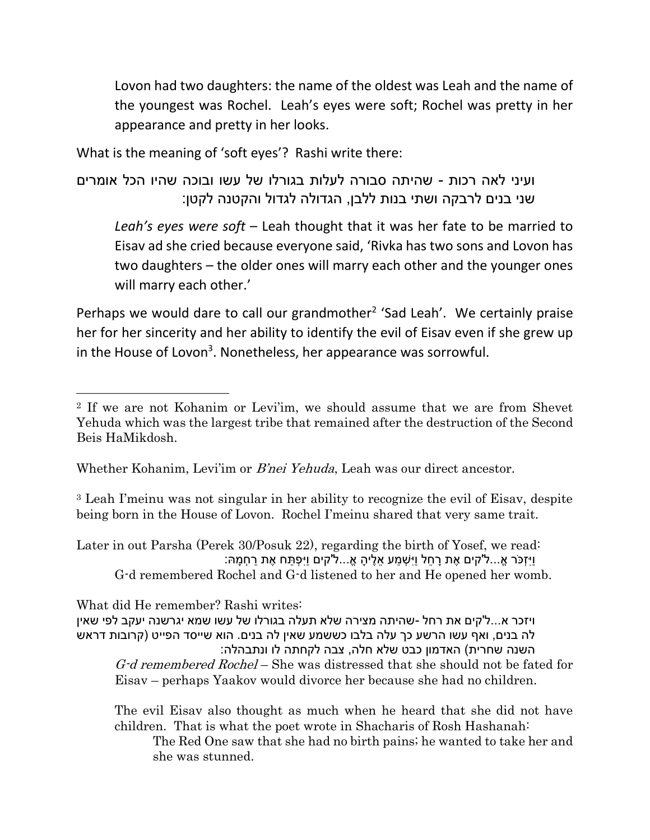Lovon had two daughters: the name of the oldest was Leah and the name of the youngest was Rochel. Leah's eyes were soft; Rochel was pretty in her appearance and pretty in her looks.

What is the meaning of 'soft eyes'? Rashi write there:

 $\overline{\phantom{a}}$ 

```
ועיני לאה רכות - שהיתה סבורה לעלות בגורלו של עשו ובוכה שהיו הכל אומרים 
    שני בנים לרבקה ושתי בנות ללבן, הגדולה לגדול והקטנה לקטן:
```
*Leah's eyes were soft* – Leah thought that it was her fate to be married to Eisav ad she cried because everyone said, 'Rivka has two sons and Lovon has two daughters – the older ones will marry each other and the younger ones will marry each other.'

Perhaps we would dare to call our grandmother<sup>2</sup> 'Sad Leah'. We certainly praise her for her sincerity and her ability to identify the evil of Eisav even if she grew up in the House of Lovon<sup>3</sup>. Nonetheless, her appearance was sorrowful.

Whether Kohanim, Levi'im or *B'nei Yehuda*, Leah was our direct ancestor.

<sup>3</sup> Leah I'meinu was not singular in her ability to recognize the evil of Eisav, despite being born in the House of Lovon. Rochel I'meinu shared that very same trait.

Later in out Parsha (Perek 30/Posuk 22), regarding the birth of Yosef, we read: וַיִּזְכֹּר אֵ...ל'קים אֶת רַחֶל וַיִּשְׁמַע אֵלֵיהָ אֱ...ל'קים וַיִּפְתַּח אֶת רַחְמַּהּ: G-d remembered Rochel and G-d listened to her and He opened her womb.

What did He remember? Rashi writes: ויזכר א...ל'קים את רחל -שהיתה מצירה שלא תעלה בגורלו של עשו שמא יגרשנה יעקב לפי שאין לה בנים, ואף עשו הרשע כך עלה בלבו כששמע שאין לה בנים. הוא שייסד הפייט )קרובות דראש השנה שחרית) האדמון כבט שלא חלה, צבה לקחתה לו ונתבהלה: G-d remembered Rochel – She was distressed that she should not be fated for Eisav – perhaps Yaakov would divorce her because she had no children.

The evil Eisav also thought as much when he heard that she did not have children. That is what the poet wrote in Shacharis of Rosh Hashanah:

The Red One saw that she had no birth pains; he wanted to take her and she was stunned.

<sup>2</sup> If we are not Kohanim or Levi'im, we should assume that we are from Shevet Yehuda which was the largest tribe that remained after the destruction of the Second Beis HaMikdosh.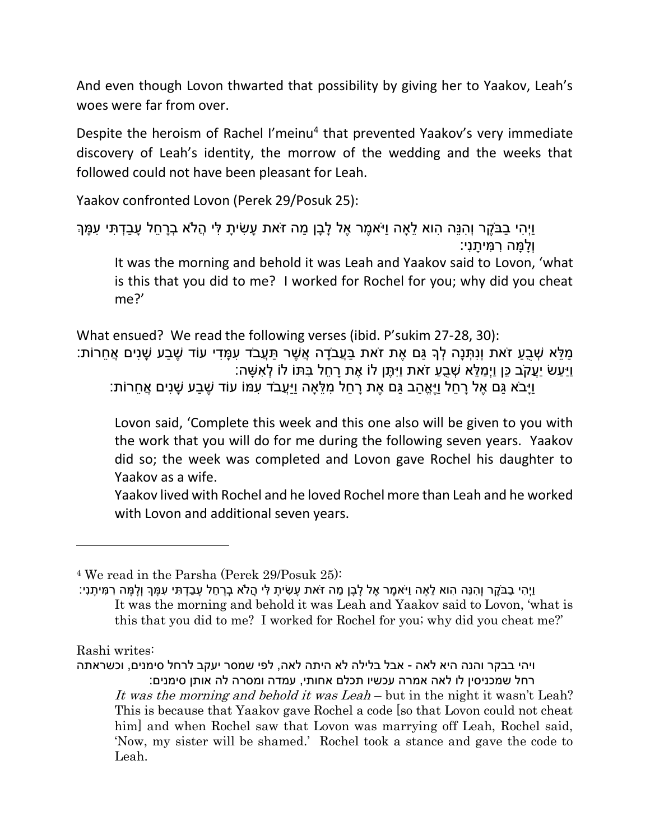And even though Lovon thwarted that possibility by giving her to Yaakov, Leah's woes were far from over.

Despite the heroism of Rachel I'meinu<sup>4</sup> that prevented Yaakov's very immediate discovery of Leah's identity, the morrow of the wedding and the weeks that followed could not have been pleasant for Leah.

Yaakov confronted Lovon (Perek 29/Posuk 25):

```
וַיְהִי בַבֹּקֵר וְהִנֵּה הוא לֵאה וַיֹּאמֶר אֶל לַבַן מַה זֹאת עַשִׂיתַ לִּי הֵלֹא בְרַחֵל עַבַדְתִּי עִמַּךְ
                                                                                     וְ ָּל ָּמה ִר ִמי ָּתנִי:
```
It was the morning and behold it was Leah and Yaakov said to Lovon, 'what is this that you did to me? I worked for Rochel for you; why did you cheat me?'

What ensued? We read the following verses (ibid. P'sukim 27-28, 30): ַּמְלֵּא שְׁבָעָ זֹאת וְנִתְּנָה לְךָ גַּם אֶת זֹאת בַּעֲבֹדָה אֲשֶׁר תַּעֲבֹד עִמַּדִי עוֹד שֶׁבַע שַׁנִים אֲחֻרוֹת: ַוּיַעשׂ יַעֱקֹב כּן וַיְמלֹא שָׁבַע זֹאת וּיִתֶּן לֹוֹ אֶת רַחל בּתּוֹ לֹוֹ לְאשׁה: ַיָּבֹא גַּם אֵל רַחֶל וַיֵּאֱהָב גַּם אֶת רַחֶל מְלֵּאַה וַיַּעֲבֹד עְמּוֹ עוֹד שֶׁבַע שַׁנִים אֲחֻרוֹת:

Lovon said, 'Complete this week and this one also will be given to you with the work that you will do for me during the following seven years. Yaakov did so; the week was completed and Lovon gave Rochel his daughter to Yaakov as a wife.

Yaakov lived with Rochel and he loved Rochel more than Leah and he worked with Lovon and additional seven years.

Rashi writes:

 $\overline{\phantom{a}}$ 

ויהי בבקר והנה היא לאה - אבל בלילה לא היתה לאה, לפי שמסר יעקב לרחל סימנים, וכשראתה רחל שמכניסין לו לאה אמרה עכשיו תכלם אחותי, עמדה ומסרה לה אותן סימנים: It was the morning and behold it was Leah – but in the night it wasn't Leah? This is because that Yaakov gave Rochel a code [so that Lovon could not cheat him] and when Rochel saw that Lovon was marrying off Leah, Rochel said, 'Now, my sister will be shamed.' Rochel took a stance and gave the code to Leah.

<sup>4</sup> We read in the Parsha (Perek 29/Posuk 25):

וַיְ ִהי ַבבֶֹׁקר וְ ִהנֵּה ִהוא ֵּלָאה וַיֹא ֶׁמר ֶׁאל ָּל ָּבן ַמה זֹאת ָּע ִשי ָּת ִלי ֲהֹלא ְבָּר ֵּחל ָּע ַב ְד ִתי ִע ָּמְך וְ ָּל ָּמה ִר ִמי ָּתנִי: It was the morning and behold it was Leah and Yaakov said to Lovon, 'what is this that you did to me? I worked for Rochel for you; why did you cheat me?'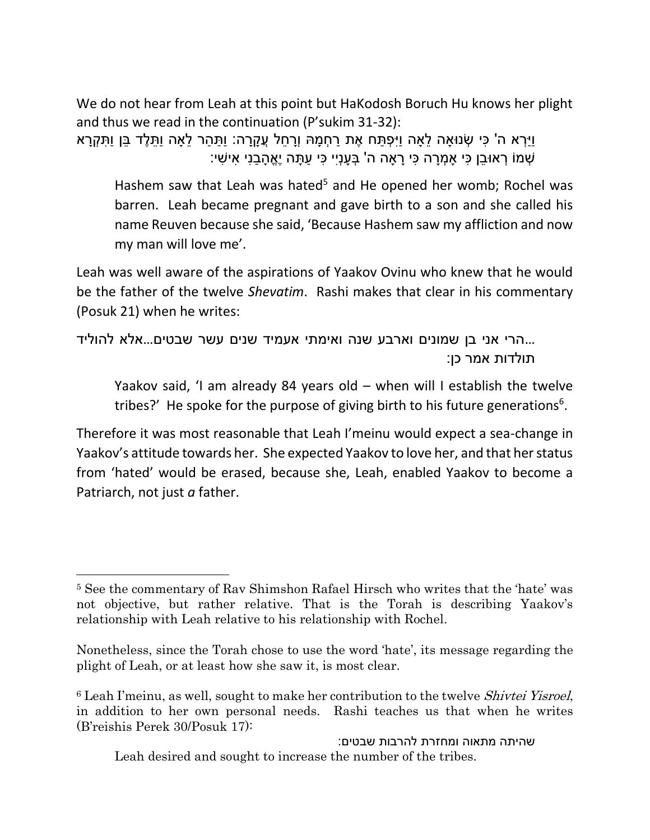We do not hear from Leah at this point but HaKodosh Boruch Hu knows her plight and thus we read in the continuation (P'sukim 31-32):

וַיַ ְרא ה' ִכי ְשנּוָאה ֵּלָאה וַיִ ְפ ַתח ֶׁאת ַר ְח ָּמּה וְָּר ֵּחל ֲע ָּקָּרה: וַ ַת ַהר ֵּלָאה וַ ֵּת ֶׁלד ֵּבן וַ ִת ְקָּרא ְשמֹו ְראּו ֵּבן ִכי ָא ְמָּרה ִכי ָּרָאה ה' ְב ָּענְיִי ִכי ַע ָּתה יֶׁ א ָּה ַבנִי ִאי ִשי:

Hashem saw that Leah was hated<sup>5</sup> and He opened her womb; Rochel was barren. Leah became pregnant and gave birth to a son and she called his name Reuven because she said, 'Because Hashem saw my affliction and now my man will love me'.

Leah was well aware of the aspirations of Yaakov Ovinu who knew that he would be the father of the twelve *Shevatim*. Rashi makes that clear in his commentary (Posuk 21) when he writes:

...הרי אני בן שמונים וארבע שנה ואימתי אעמיד שנים עשר שבטים...אלא להוליד תולדות אמר כן:

Yaakov said, 'I am already 84 years old – when will I establish the twelve tribes?' He spoke for the purpose of giving birth to his future generations<sup>6</sup>.

Therefore it was most reasonable that Leah I'meinu would expect a sea-change in Yaakov's attitude towards her. She expected Yaakov to love her, and that her status from 'hated' would be erased, because she, Leah, enabled Yaakov to become a Patriarch, not just *a* father.

l

שהיתה מתאוה ומחזרת להרבות שבטים: Leah desired and sought to increase the number of the tribes.

<sup>5</sup> See the commentary of Rav Shimshon Rafael Hirsch who writes that the 'hate' was not objective, but rather relative. That is the Torah is describing Yaakov's relationship with Leah relative to his relationship with Rochel.

Nonetheless, since the Torah chose to use the word 'hate', its message regarding the plight of Leah, or at least how she saw it, is most clear.

<sup>&</sup>lt;sup>6</sup> Leah I'meinu, as well, sought to make her contribution to the twelve *Shivtei Yisroel*, in addition to her own personal needs. Rashi teaches us that when he writes (B'reishis Perek 30/Posuk 17):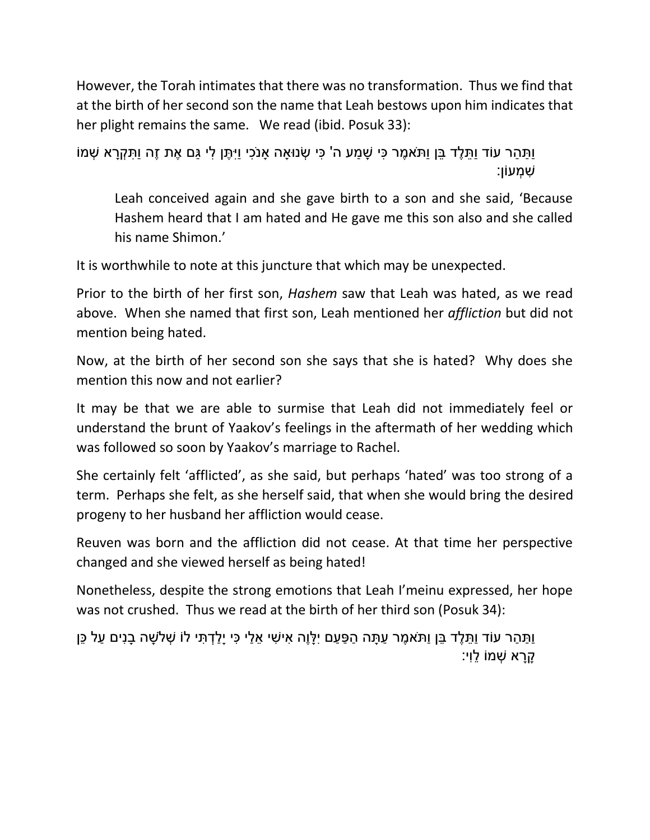However, the Torah intimates that there was no transformation. Thus we find that at the birth of her second son the name that Leah bestows upon him indicates that her plight remains the same. We read (ibid. Posuk 33):

```
וַ ַת ַהר עֹוד וַ ֵּת ֶׁלד ֵּבן וַתֹא ֶׁמר ִכי ָּש ַמע ה' ִכי ְשנּוָאה ָאנֹ ִכי וַיִ ֶׁתן ִלי ַגם ֶׁאת זֶׁה וַ ִת ְקָּרא ְשמֹו
                                                                                                      ִש ְמעֹון:
```
Leah conceived again and she gave birth to a son and she said, 'Because Hashem heard that I am hated and He gave me this son also and she called his name Shimon.'

It is worthwhile to note at this juncture that which may be unexpected.

Prior to the birth of her first son, *Hashem* saw that Leah was hated, as we read above. When she named that first son, Leah mentioned her *affliction* but did not mention being hated.

Now, at the birth of her second son she says that she is hated? Why does she mention this now and not earlier?

It may be that we are able to surmise that Leah did not immediately feel or understand the brunt of Yaakov's feelings in the aftermath of her wedding which was followed so soon by Yaakov's marriage to Rachel.

She certainly felt 'afflicted', as she said, but perhaps 'hated' was too strong of a term. Perhaps she felt, as she herself said, that when she would bring the desired progeny to her husband her affliction would cease.

Reuven was born and the affliction did not cease. At that time her perspective changed and she viewed herself as being hated!

Nonetheless, despite the strong emotions that Leah I'meinu expressed, her hope was not crushed. Thus we read at the birth of her third son (Posuk 34):

וַתַּהַר עוֹד וַתֶּלֵד בֵּן וַתֹּאמֶר עַתָּה הַפַּעַם יִלָּוֶה אִישִׁי אֵלַי כִּי יָלַדְתִּי לֹוֹ שְׁלֹשָׁה בָנִים עַל כֵּן ָּקָּרא ְשמֹו ֵּלוִי: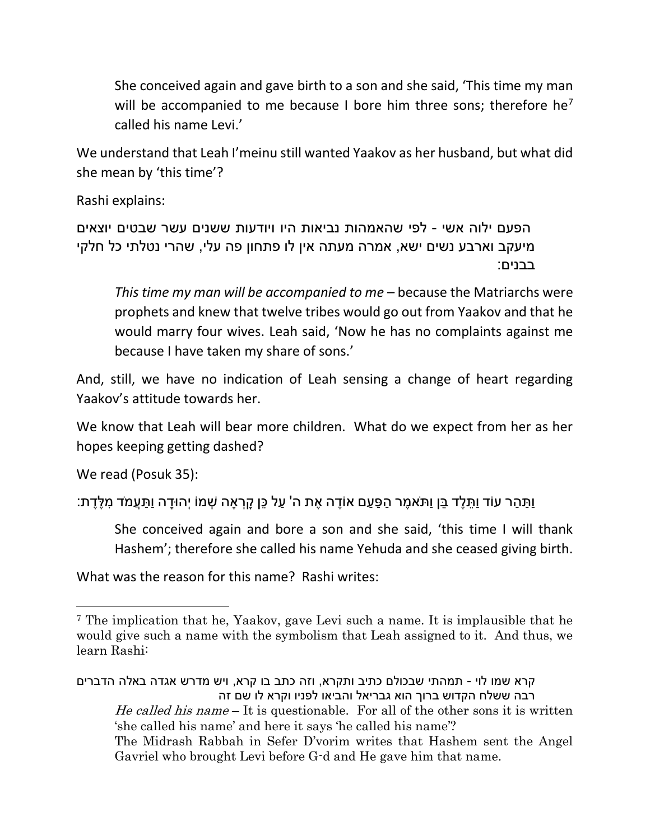She conceived again and gave birth to a son and she said, 'This time my man will be accompanied to me because I bore him three sons; therefore he<sup>7</sup> called his name Levi.'

We understand that Leah I'meinu still wanted Yaakov as her husband, but what did she mean by 'this time'?

Rashi explains:

הפעם ילוה אשי - לפי שהאמהות נביאות היו ויודעות ששנים עשר שבטים יוצאים מיעקב וארבע נשים ישא, אמרה מעתה אין לו פתחון פה עלי, שהרי נטלתי כל חלקי בבנים:

*This time my man will be accompanied to me* – because the Matriarchs were prophets and knew that twelve tribes would go out from Yaakov and that he would marry four wives. Leah said, 'Now he has no complaints against me because I have taken my share of sons.'

And, still, we have no indication of Leah sensing a change of heart regarding Yaakov's attitude towards her.

We know that Leah will bear more children. What do we expect from her as her hopes keeping getting dashed?

We read (Posuk 35):

 $\overline{\phantom{a}}$ 

ַּוְתַּהַר עוֹד וַתֶּלֶד בֵּן וַתֹּאמֶר הַפָּעַם אוֹדֵה אֶת ה' עַל כֵּן קַרְאה שְׁמוֹ יְהוּדַה וַתַּעֲמֹד מִלֶּדֶת:

She conceived again and bore a son and she said, 'this time I will thank Hashem'; therefore she called his name Yehuda and she ceased giving birth.

What was the reason for this name? Rashi writes:

<sup>7</sup> The implication that he, Yaakov, gave Levi such a name. It is implausible that he would give such a name with the symbolism that Leah assigned to it. And thus, we learn Rashi:

קרא שמו לוי - תמהתי שבכולם כתיב ותקרא, וזה כתב בו קרא, ויש מדרש אגדה באלה הדברים רבה ששלח הקדוש ברוך הוא גבריאל והביאו לפניו וקרא לו שם זה He called his name  $-$  It is questionable. For all of the other sons it is written 'she called his name' and here it says 'he called his name'? The Midrash Rabbah in Sefer D'vorim writes that Hashem sent the Angel Gavriel who brought Levi before G-d and He gave him that name.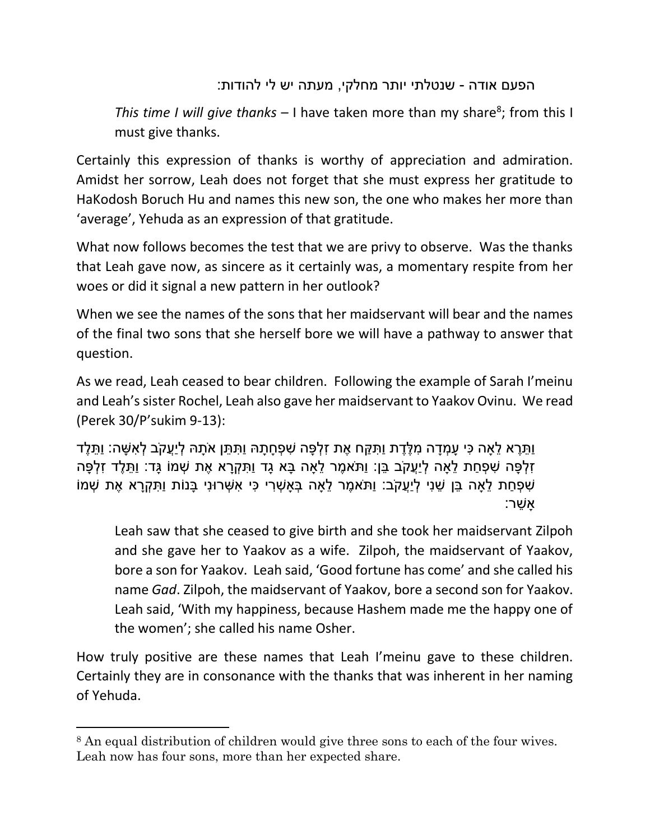## הפעם אודה - שנטלתי יותר מחלקי, מעתה יש לי להודות:

This time I will give thanks - I have taken more than my share<sup>8</sup>; from this I must give thanks.

Certainly this expression of thanks is worthy of appreciation and admiration. Amidst her sorrow, Leah does not forget that she must express her gratitude to HaKodosh Boruch Hu and names this new son, the one who makes her more than 'average', Yehuda as an expression of that gratitude.

What now follows becomes the test that we are privy to observe. Was the thanks that Leah gave now, as sincere as it certainly was, a momentary respite from her woes or did it signal a new pattern in her outlook?

When we see the names of the sons that her maidservant will bear and the names of the final two sons that she herself bore we will have a pathway to answer that question.

As we read, Leah ceased to bear children. Following the example of Sarah I'meinu and Leah's sister Rochel, Leah also gave her maidservant to Yaakov Ovinu. We read (Perek 30/P'sukim 9-13):

וַ ֵּתֶׁרא ֵּלָאה ִכי ָּע ְמָּדה ִמ ֶׁל ֶׁדת וַ ִת ַקח ֶׁאת ִז ְל ָּפה ִש ְפ ָּח ָּתּה וַ ִת ֵּתן אָֹּתּה ְליֲַעקֹב ְל ִא ָּשה: וַ ֵּת ֶׁלד ַזְלְּפָּה שִׁפָּחת לִאה לְיַעֱקֹב ַבּן: וִתֹּאמֶר לִאה ִבּא גִד וִתַּקְרָא אֶת שָׁמוֹ גִּד: וִתְּלֵד זִלְפָּה ּשִׁפְּחַת לֵאָה בֵּן שֵׁנִי לְיַעֲקֹב: וַתֹּאמֶר לֵאָה בְּאָשְׁרִי כִּי אִשְׁרוּנִי בָּנוֹת וַתִּקְרָא אֶת שְׁמוֹ ָּא ֵּשר:

Leah saw that she ceased to give birth and she took her maidservant Zilpoh and she gave her to Yaakov as a wife. Zilpoh, the maidservant of Yaakov, bore a son for Yaakov. Leah said, 'Good fortune has come' and she called his name *Gad*. Zilpoh, the maidservant of Yaakov, bore a second son for Yaakov. Leah said, 'With my happiness, because Hashem made me the happy one of the women'; she called his name Osher.

How truly positive are these names that Leah I'meinu gave to these children. Certainly they are in consonance with the thanks that was inherent in her naming of Yehuda.

 $\overline{\phantom{a}}$ 

<sup>8</sup> An equal distribution of children would give three sons to each of the four wives. Leah now has four sons, more than her expected share.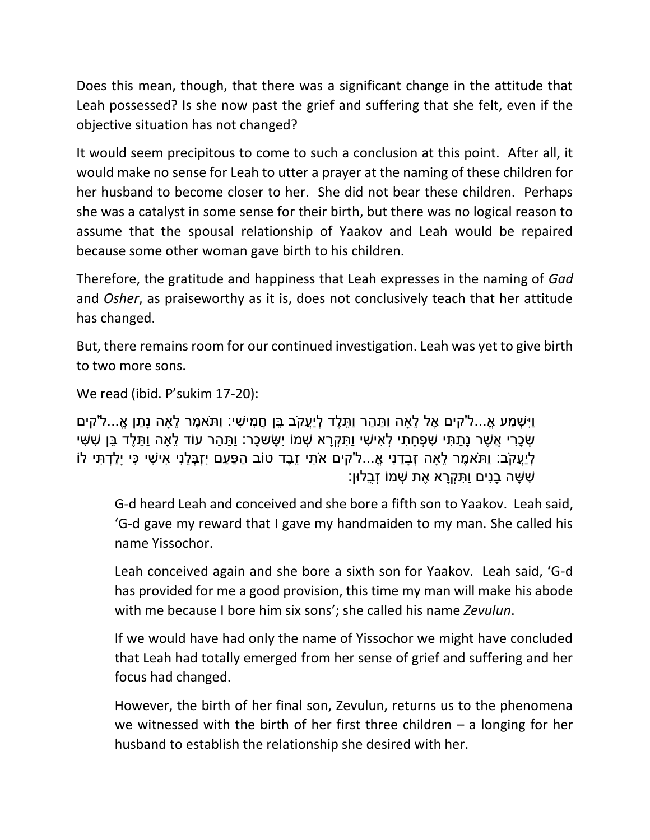Does this mean, though, that there was a significant change in the attitude that Leah possessed? Is she now past the grief and suffering that she felt, even if the objective situation has not changed?

It would seem precipitous to come to such a conclusion at this point. After all, it would make no sense for Leah to utter a prayer at the naming of these children for her husband to become closer to her. She did not bear these children. Perhaps she was a catalyst in some sense for their birth, but there was no logical reason to assume that the spousal relationship of Yaakov and Leah would be repaired because some other woman gave birth to his children.

Therefore, the gratitude and happiness that Leah expresses in the naming of *Gad* and *Osher*, as praiseworthy as it is, does not conclusively teach that her attitude has changed.

But, there remains room for our continued investigation. Leah was yet to give birth to two more sons.

We read (ibid. P'sukim 17-20):

וַיִּשְׁמַע אֶ...ל'קים אֶל לֹאה וַתַּהר וַתַּלֵד לְיַעֱקֹב ַבּן חֱמִישִׁי: וַתֹּאמֶר לֹאה נַתן אֶ...ל'קים ּשָׂכָרי אֲשֶׁר נַתִּתִּי שַׁפְחַתִּי לְאישִׁי וַתִּקְרָא שָׁמוֹ יִשְׂשְׁכָּר: וִתָּהר עוֹד לַאה וִתְּלֶד בַּן שִׁשִּׁי ֹלְיַעֲקֹב: וַתֹּאמֶר לֵאַה זְבָדַנִי אֵ...ל'קים אֹתִי זֶבֶד טוֹב הַפָּעַם יִזְבְּלֵנִי אִישִׁי כִּי יַלַדְתִּי לֹוֹ ִש ָּשה ָּבנִים וַ ִת ְקָּרא ֶׁאת ְשמֹו ְזֻבלּון:

G-d heard Leah and conceived and she bore a fifth son to Yaakov. Leah said, 'G-d gave my reward that I gave my handmaiden to my man. She called his name Yissochor.

Leah conceived again and she bore a sixth son for Yaakov. Leah said, 'G-d has provided for me a good provision, this time my man will make his abode with me because I bore him six sons'; she called his name *Zevulun*.

If we would have had only the name of Yissochor we might have concluded that Leah had totally emerged from her sense of grief and suffering and her focus had changed.

However, the birth of her final son, Zevulun, returns us to the phenomena we witnessed with the birth of her first three children – a longing for her husband to establish the relationship she desired with her.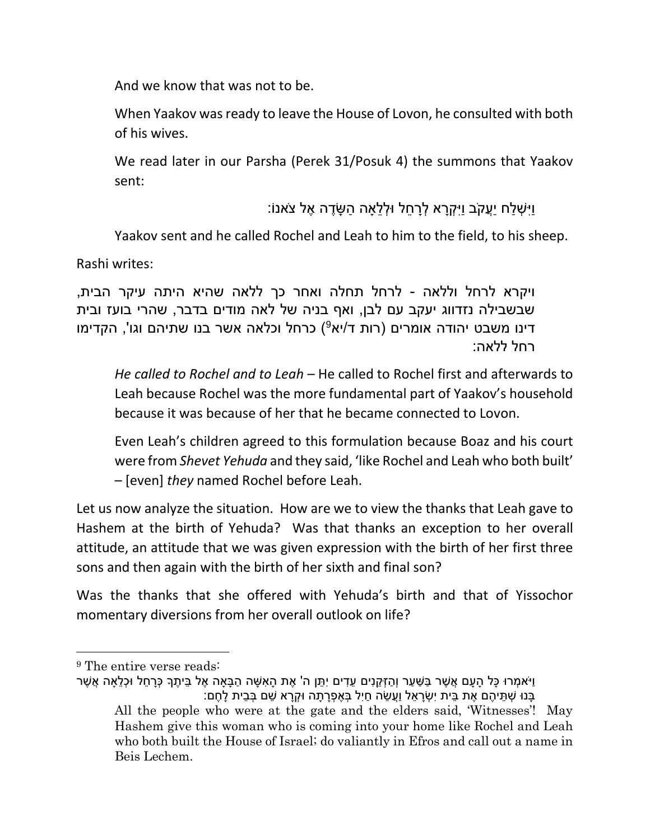And we know that was not to be.

When Yaakov was ready to leave the House of Lovon, he consulted with both of his wives.

We read later in our Parsha (Perek 31/Posuk 4) the summons that Yaakov sent:

## וַיִ ְש ַלח יֲַעקֹב וַיִ ְקָּרא ְלָּר ֵּחל ּו ְל ֵּלָאה ַה ָּשֶׁדה ֶׁאל צֹאנֹו:

Yaakov sent and he called Rochel and Leah to him to the field, to his sheep.

Rashi writes:

ויקרא לרחל וללאה - לרחל תחלה ואחר כך ללאה שהיא היתה עיקר הבית, שבשבילה נזדווג יעקב עם לבן, ואף בניה של לאה מודים בדבר, שהרי בועז ובית דינו משבט יהודה אומרים (רות ד/יא<sup>9</sup>) כרחל וכלאה אשר בנו שתיהם וגו', הקדימו רחל ללאה:

*He called to Rochel and to Leah* – He called to Rochel first and afterwards to Leah because Rochel was the more fundamental part of Yaakov's household because it was because of her that he became connected to Lovon.

Even Leah's children agreed to this formulation because Boaz and his court were from *Shevet Yehuda* and they said, 'like Rochel and Leah who both built' – [even] *they* named Rochel before Leah.

Let us now analyze the situation. How are we to view the thanks that Leah gave to Hashem at the birth of Yehuda? Was that thanks an exception to her overall attitude, an attitude that we was given expression with the birth of her first three sons and then again with the birth of her sixth and final son?

Was the thanks that she offered with Yehuda's birth and that of Yissochor momentary diversions from her overall outlook on life?

Beis Lechem.

l

<sup>&</sup>lt;sup>9</sup> The entire verse reads:

וַיֹּאמִרוּ כַּל הַעַם אֲשֶׁר בַּשָּׁעַר וְהַזְּקֵנִים עֵדִים יְתֵּן ה' אֶת הַאִשָּׁה הַבָּאַה אֶל בֵּיתֵךְ כָּרַחֶל וּכְלֵאַה אֲשֶׁר ָּבְּנוּ שָׁתֵּיהֶם אֶת בֵּית יִשְׂרָאֵל וַעֲשֶׂה חַיָּל בְּאֶפָרָתָה וּקְרָא שֶׁם בְּבֵית לַחֵם: All the people who were at the gate and the elders said, 'Witnesses'! May Hashem give this woman who is coming into your home like Rochel and Leah who both built the House of Israel; do valiantly in Efros and call out a name in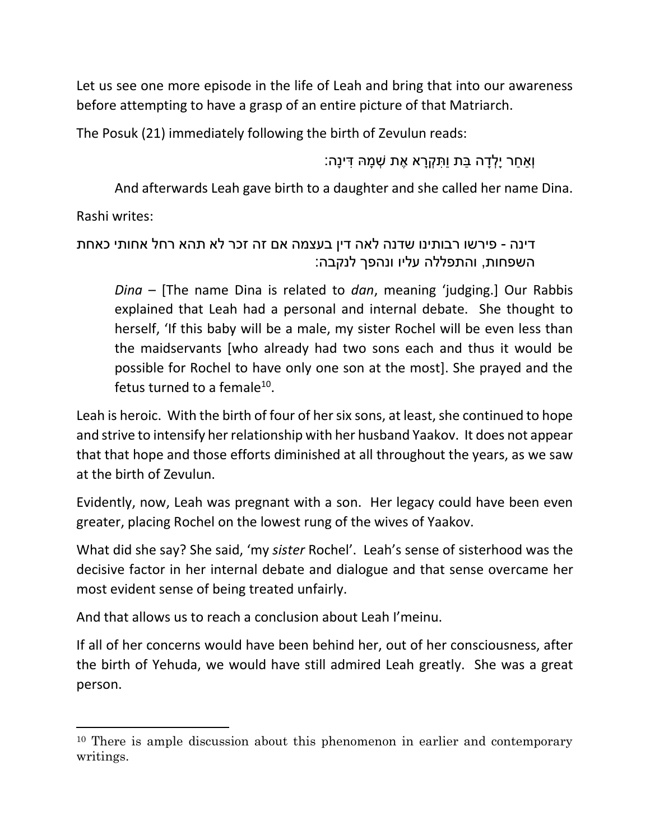Let us see one more episode in the life of Leah and bring that into our awareness before attempting to have a grasp of an entire picture of that Matriarch.

The Posuk (21) immediately following the birth of Zevulun reads:

וְַא ַחר יָּ ְל ָּדה ַבת וַ ִת ְקָּרא ֶׁאת ְש ָּמּה ִדינָּה:

And afterwards Leah gave birth to a daughter and she called her name Dina.

Rashi writes:

 $\overline{\phantom{a}}$ 

דינה - פירשו רבותינו שדנה לאה דין בעצמה אם זה זכר לא תהא רחל אחותי כאחת השפחות, והתפללה עליו ונהפך לנקבה:

*Dina* – [The name Dina is related to *dan*, meaning 'judging.] Our Rabbis explained that Leah had a personal and internal debate. She thought to herself, 'If this baby will be a male, my sister Rochel will be even less than the maidservants [who already had two sons each and thus it would be possible for Rochel to have only one son at the most]. She prayed and the fetus turned to a female<sup>10</sup>.

Leah is heroic. With the birth of four of her six sons, at least, she continued to hope and strive to intensify her relationship with her husband Yaakov. It does not appear that that hope and those efforts diminished at all throughout the years, as we saw at the birth of Zevulun.

Evidently, now, Leah was pregnant with a son. Her legacy could have been even greater, placing Rochel on the lowest rung of the wives of Yaakov.

What did she say? She said, 'my *sister* Rochel'. Leah's sense of sisterhood was the decisive factor in her internal debate and dialogue and that sense overcame her most evident sense of being treated unfairly.

And that allows us to reach a conclusion about Leah I'meinu.

If all of her concerns would have been behind her, out of her consciousness, after the birth of Yehuda, we would have still admired Leah greatly. She was a great person.

<sup>10</sup> There is ample discussion about this phenomenon in earlier and contemporary writings.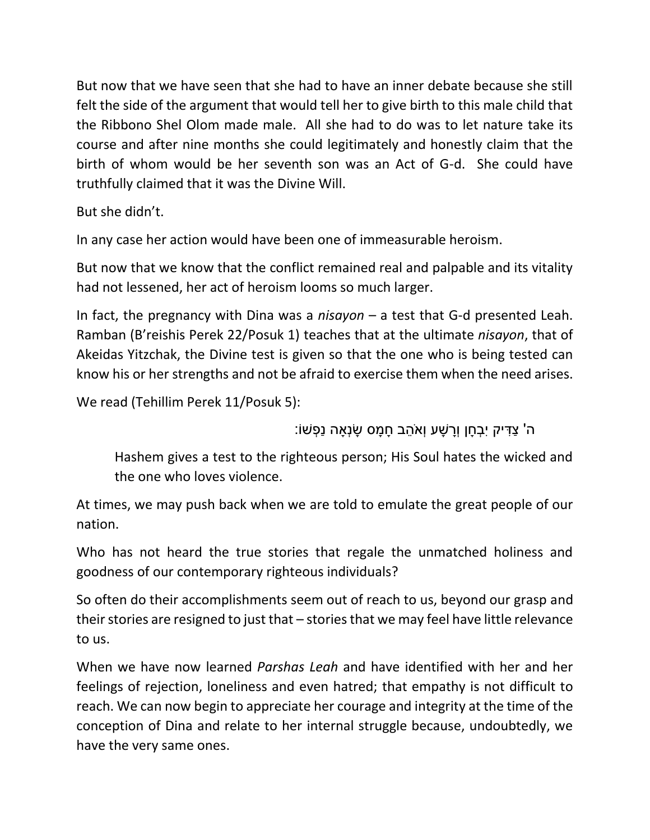But now that we have seen that she had to have an inner debate because she still felt the side of the argument that would tell her to give birth to this male child that the Ribbono Shel Olom made male. All she had to do was to let nature take its course and after nine months she could legitimately and honestly claim that the birth of whom would be her seventh son was an Act of G-d. She could have truthfully claimed that it was the Divine Will.

But she didn't.

In any case her action would have been one of immeasurable heroism.

But now that we know that the conflict remained real and palpable and its vitality had not lessened, her act of heroism looms so much larger.

In fact, the pregnancy with Dina was a *nisayon* – a test that G-d presented Leah. Ramban (B'reishis Perek 22/Posuk 1) teaches that at the ultimate *nisayon*, that of Akeidas Yitzchak, the Divine test is given so that the one who is being tested can know his or her strengths and not be afraid to exercise them when the need arises.

We read (Tehillim Perek 11/Posuk 5):

ֿה' צַדִּיק יִבְחָן וְרָשָׁע וְאֹהֶב חָמָס שָׂנְאַה נַפְשׁוֹ:

Hashem gives a test to the righteous person; His Soul hates the wicked and the one who loves violence.

At times, we may push back when we are told to emulate the great people of our nation.

Who has not heard the true stories that regale the unmatched holiness and goodness of our contemporary righteous individuals?

So often do their accomplishments seem out of reach to us, beyond our grasp and their stories are resigned to just that – stories that we may feel have little relevance to us.

When we have now learned *Parshas Leah* and have identified with her and her feelings of rejection, loneliness and even hatred; that empathy is not difficult to reach. We can now begin to appreciate her courage and integrity at the time of the conception of Dina and relate to her internal struggle because, undoubtedly, we have the very same ones.